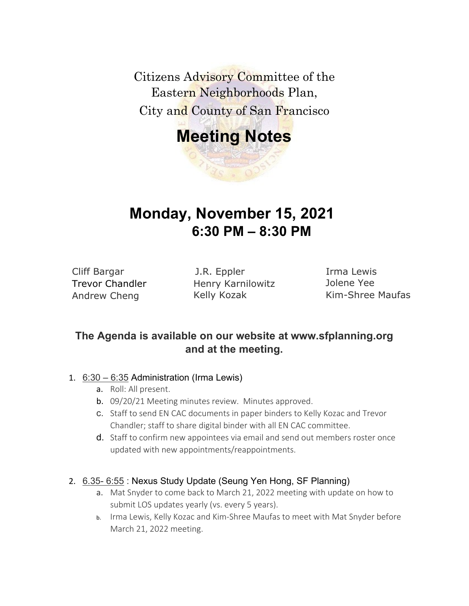Citizens Advisory Committee of the Eastern Neighborhoods Plan, City and County of San Francisco

# **Meeting Notes**

Cliff Bargar Trevor Chandler Andrew Cheng

J.R. Eppler Henry Karnilowitz Kelly Kozak

**Monday, November 15, 2021**

**6:30 PM – 8:30 PM**

Irma Lewis Jolene Yee Kim-Shree Maufas

# **The Agenda is available on our website at www.sfplanning.org and at the meeting.**

#### 1. 6:30 – 6:35 Administration (Irma Lewis)

- a. Roll: All present.
- b. 09/20/21 Meeting minutes review. Minutes approved.
- c. Staff to send EN CAC documents in paper binders to Kelly Kozac and Trevor Chandler; staff to share digital binder with all EN CAC committee.
- d. Staff to confirm new appointees via email and send out members roster once updated with new appointments/reappointments.

#### 2. 6.35- 6:55 : Nexus Study Update (Seung Yen Hong, SF Planning)

- a. Mat Snyder to come back to March 21, 2022 meeting with update on how to submit LOS updates yearly (vs. every 5 years).
- b. Irma Lewis, Kelly Kozac and Kim-Shree Maufas to meet with Mat Snyder before March 21, 2022 meeting.